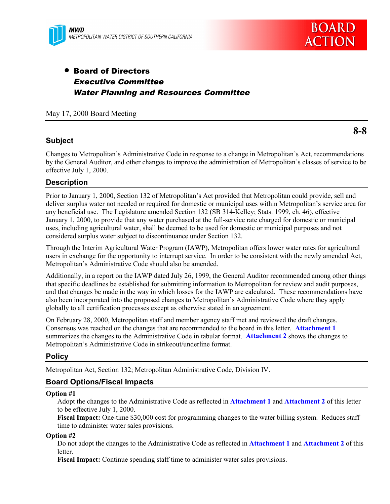

# • Board of Directors Executive Committee Water Planning and Resources Committee

May 17, 2000 Board Meeting

## **Subject**

Changes to Metropolitan's Administrative Code in response to a change in Metropolitan's Act, recommendations by the General Auditor, and other changes to improve the administration of Metropolitan's classes of service to be effective July 1, 2000.

## **Description**

Prior to January 1, 2000, Section 132 of Metropolitan's Act provided that Metropolitan could provide, sell and deliver surplus water not needed or required for domestic or municipal uses within Metropolitan's service area for any beneficial use. The Legislature amended Section 132 (SB 314-Kelley; Stats. 1999, ch. 46), effective January 1, 2000, to provide that any water purchased at the full-service rate charged for domestic or municipal uses, including agricultural water, shall be deemed to be used for domestic or municipal purposes and not considered surplus water subject to discontinuance under Section 132.

Through the Interim Agricultural Water Program (IAWP), Metropolitan offers lower water rates for agricultural users in exchange for the opportunity to interrupt service. In order to be consistent with the newly amended Act, Metropolitan's Administrative Code should also be amended.

Additionally, in a report on the IAWP dated July 26, 1999, the General Auditor recommended among other things that specific deadlines be established for submitting information to Metropolitan for review and audit purposes, and that changes be made in the way in which losses for the IAWP are calculated. These recommendations have also been incorporated into the proposed changes to Metropolitan's Administrative Code where they apply globally to all certification processes except as otherwise stated in an agreement.

On February 28, 2000, Metropolitan staff and member agency staff met and reviewed the draft changes. Consensus was reached on the changes that are recommended to the board in this letter. **Attachment 1** summarizes the changes to the Administrative Code in tabular format. **[Attachment 2](#page-5-0)** shows the changes to Metropolitan's Administrative Code in strikeout/underline format.

### **Policy**

Metropolitan Act, Section 132; Metropolitan Administrative Code, Division IV.

### **Board Options/Fiscal Impacts**

#### **Option #1**

Adopt the changes to the Administrative Code as reflected in **Attachment 1** and **Attachment 2** of this letter to be effective July 1, 2000.

**Fiscal Impact:** One-time \$30,000 cost for programming changes to the water billing system. Reduces staff time to administer water sales provisions.

#### **Option #2**

Do not adopt the changes to the Administrative Code as reflected in **Attachment 1** and **Attachment 2** of this letter.

**Fiscal Impact:** Continue spending staff time to administer water sales provisions.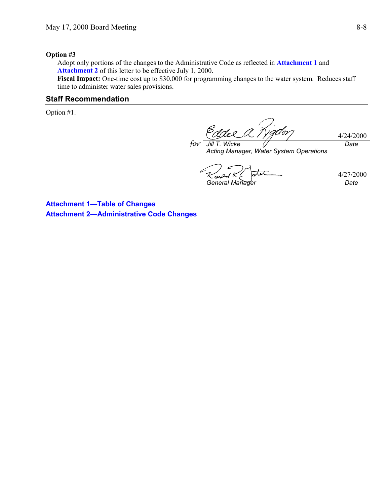#### **Option #3**

Adopt only portions of the changes to the Administrative Code as reflected in **Attachment 1** and **Attachment 2** of this letter to be effective July 1, 2000.

*for*

Fiscal Impact: One-time cost up to \$30,000 for programming changes to the water system. Reduces staff time to administer water sales provisions.

# **Staff Recommendation**

Option #1.

4/24/2000 *Date*

*Jill T. Wicke* 0 *Acting Manager, Water System Operations*

4/27/2000 *General Manager Date*

**Attachment 1—Table of Changes Attachment 2—Administrative Code Changes**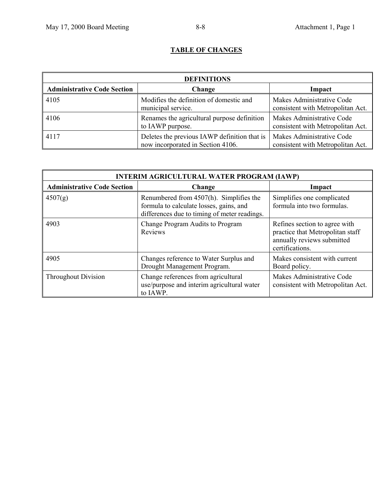# **TABLE OF CHANGES**

| <b>DEFINITIONS</b>                 |                                                                                   |                                                                |
|------------------------------------|-----------------------------------------------------------------------------------|----------------------------------------------------------------|
| <b>Administrative Code Section</b> | Change                                                                            | Impact                                                         |
| 4105                               | Modifies the definition of domestic and<br>municipal service.                     | Makes Administrative Code<br>consistent with Metropolitan Act. |
| 4106                               | Renames the agricultural purpose definition<br>to IAWP purpose.                   | Makes Administrative Code<br>consistent with Metropolitan Act. |
| 4117                               | Deletes the previous IAWP definition that is<br>now incorporated in Section 4106. | Makes Administrative Code<br>consistent with Metropolitan Act. |

| <b>INTERIM AGRICULTURAL WATER PROGRAM (IAWP)</b> |                                                                                                                                    |                                                                                                                    |
|--------------------------------------------------|------------------------------------------------------------------------------------------------------------------------------------|--------------------------------------------------------------------------------------------------------------------|
| <b>Administrative Code Section</b><br>Change     |                                                                                                                                    | Impact                                                                                                             |
| 4507(g)                                          | Renumbered from 4507(h). Simplifies the<br>formula to calculate losses, gains, and<br>differences due to timing of meter readings. | Simplifies one complicated<br>formula into two formulas.                                                           |
| 4903                                             | Change Program Audits to Program<br>Reviews                                                                                        | Refines section to agree with<br>practice that Metropolitan staff<br>annually reviews submitted<br>certifications. |
| 4905                                             | Changes reference to Water Surplus and<br>Drought Management Program.                                                              | Makes consistent with current<br>Board policy.                                                                     |
| <b>Throughout Division</b>                       | Change references from agricultural<br>use/purpose and interim agricultural water<br>to IAWP.                                      | Makes Administrative Code<br>consistent with Metropolitan Act.                                                     |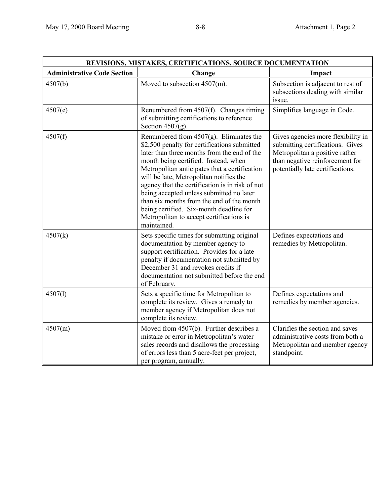| REVISIONS, MISTAKES, CERTIFICATIONS, SOURCE DOCUMENTATION |                                                                                                                                                                                                                                                                                                                                                                                                                                                                                                                                 |                                                                                                                                                                                 |
|-----------------------------------------------------------|---------------------------------------------------------------------------------------------------------------------------------------------------------------------------------------------------------------------------------------------------------------------------------------------------------------------------------------------------------------------------------------------------------------------------------------------------------------------------------------------------------------------------------|---------------------------------------------------------------------------------------------------------------------------------------------------------------------------------|
| <b>Administrative Code Section</b>                        | Change                                                                                                                                                                                                                                                                                                                                                                                                                                                                                                                          | Impact                                                                                                                                                                          |
| 4507(b)                                                   | Moved to subsection 4507(m).                                                                                                                                                                                                                                                                                                                                                                                                                                                                                                    | Subsection is adjacent to rest of<br>subsections dealing with similar<br>issue.                                                                                                 |
| 4507(e)                                                   | Renumbered from 4507(f). Changes timing<br>of submitting certifications to reference<br>Section $4507(g)$ .                                                                                                                                                                                                                                                                                                                                                                                                                     | Simplifies language in Code.                                                                                                                                                    |
| 4507(f)                                                   | Renumbered from $4507(g)$ . Eliminates the<br>\$2,500 penalty for certifications submitted<br>later than three months from the end of the<br>month being certified. Instead, when<br>Metropolitan anticipates that a certification<br>will be late, Metropolitan notifies the<br>agency that the certification is in risk of not<br>being accepted unless submitted no later<br>than six months from the end of the month<br>being certified. Six-month deadline for<br>Metropolitan to accept certifications is<br>maintained. | Gives agencies more flexibility in<br>submitting certifications. Gives<br>Metropolitan a positive rather<br>than negative reinforcement for<br>potentially late certifications. |
| 4507(k)                                                   | Sets specific times for submitting original<br>documentation by member agency to<br>support certification. Provides for a late<br>penalty if documentation not submitted by<br>December 31 and revokes credits if<br>documentation not submitted before the end<br>of February.                                                                                                                                                                                                                                                 | Defines expectations and<br>remedies by Metropolitan.                                                                                                                           |
| 4507(1)                                                   | Sets a specific time for Metropolitan to<br>complete its review. Gives a remedy to<br>member agency if Metropolitan does not<br>complete its review.                                                                                                                                                                                                                                                                                                                                                                            | Defines expectations and<br>remedies by member agencies.                                                                                                                        |
| 4507(m)                                                   | Moved from 4507(b). Further describes a<br>mistake or error in Metropolitan's water<br>sales records and disallows the processing<br>of errors less than 5 acre-feet per project,<br>per program, annually.                                                                                                                                                                                                                                                                                                                     | Clarifies the section and saves<br>administrative costs from both a<br>Metropolitan and member agency<br>standpoint.                                                            |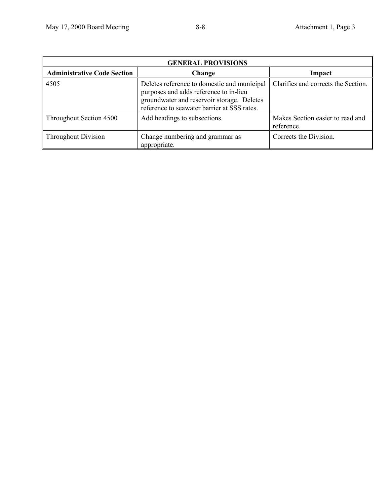$\overline{a}$ 

| <b>GENERAL PROVISIONS</b>          |                                                                                                                                                                                    |                                                |
|------------------------------------|------------------------------------------------------------------------------------------------------------------------------------------------------------------------------------|------------------------------------------------|
| <b>Administrative Code Section</b> | Change                                                                                                                                                                             | Impact                                         |
| 4505                               | Deletes reference to domestic and municipal<br>purposes and adds reference to in-lieu<br>groundwater and reservoir storage. Deletes<br>reference to seawater barrier at SSS rates. | Clarifies and corrects the Section.            |
| Throughout Section 4500            | Add headings to subsections.                                                                                                                                                       | Makes Section easier to read and<br>reference. |
| <b>Throughout Division</b>         | Change numbering and grammar as<br>appropriate.                                                                                                                                    | Corrects the Division.                         |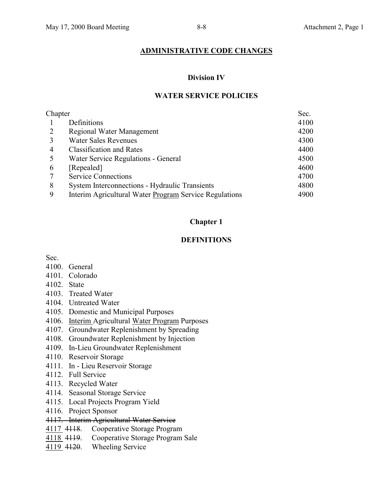# **ADMINISTRATIVE CODE CHANGES**

### **Division IV**

# **WATER SERVICE POLICIES**

<span id="page-5-0"></span>

| Chapter |                                                        | Sec. |
|---------|--------------------------------------------------------|------|
|         | Definitions                                            | 4100 |
|         | Regional Water Management                              | 4200 |
| 3       | <b>Water Sales Revenues</b>                            | 4300 |
| 4       | <b>Classification and Rates</b>                        | 4400 |
| 5       | Water Service Regulations - General                    | 4500 |
| 6       | [Repealed]                                             | 4600 |
|         | <b>Service Connections</b>                             | 4700 |
| 8       | <b>System Interconnections - Hydraulic Transients</b>  | 4800 |
| 9       | Interim Agricultural Water Program Service Regulations | 4900 |

# **Chapter 1**

# **DEFINITIONS**

Sec.

- 4100. General
- 4101. Colorado
- 4102. State
- 4103. Treated Water
- 4104. Untreated Water
- 4105. Domestic and Municipal Purposes
- 4106. Interim Agricultural Water Program Purposes
- 4107. Groundwater Replenishment by Spreading
- 4108. Groundwater Replenishment by Injection
- 4109. In-Lieu Groundwater Replenishment
- 4110. Reservoir Storage
- 4111. In Lieu Reservoir Storage
- 4112. Full Service
- 4113. Recycled Water
- 4114. Seasonal Storage Service
- 4115. Local Projects Program Yield
- 4116. Project Sponsor
- 4117. Interim Agricultural Water Service
- 4117 4118. Cooperative Storage Program
- 4118 4119. Cooperative Storage Program Sale
- 4119 4120. Wheeling Service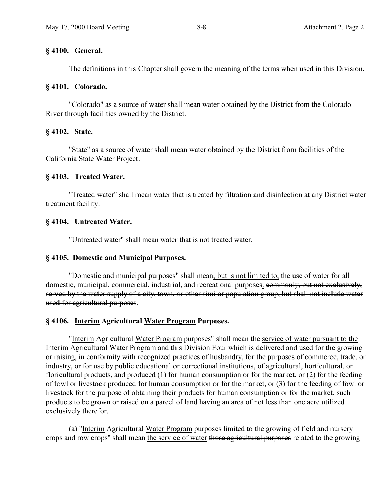## **§ 4100. General.**

The definitions in this Chapter shall govern the meaning of the terms when used in this Division.

## **§ 4101. Colorado.**

"Colorado" as a source of water shall mean water obtained by the District from the Colorado River through facilities owned by the District.

## **§ 4102. State.**

"State" as a source of water shall mean water obtained by the District from facilities of the California State Water Project.

## **§ 4103. Treated Water.**

"Treated water" shall mean water that is treated by filtration and disinfection at any District water treatment facility.

## **§ 4104. Untreated Water.**

"Untreated water" shall mean water that is not treated water.

### **§ 4105. Domestic and Municipal Purposes.**

"Domestic and municipal purposes" shall mean, but is not limited to, the use of water for all domestic, municipal, commercial, industrial, and recreational purposes. commonly, but not exclusively, served by the water supply of a city, town, or other similar population group, but shall not include water used for agricultural purposes.

# **§ 4106. Interim Agricultural Water Program Purposes.**

"Interim Agricultural Water Program purposes" shall mean the service of water pursuant to the Interim Agricultural Water Program and this Division Four which is delivered and used for the growing or raising, in conformity with recognized practices of husbandry, for the purposes of commerce, trade, or industry, or for use by public educational or correctional institutions, of agricultural, horticultural, or floricultural products, and produced (1) for human consumption or for the market, or (2) for the feeding of fowl or livestock produced for human consumption or for the market, or (3) for the feeding of fowl or livestock for the purpose of obtaining their products for human consumption or for the market, such products to be grown or raised on a parcel of land having an area of not less than one acre utilized exclusively therefor.

(a) "Interim Agricultural Water Program purposes limited to the growing of field and nursery crops and row crops" shall mean the service of water those agricultural purposes related to the growing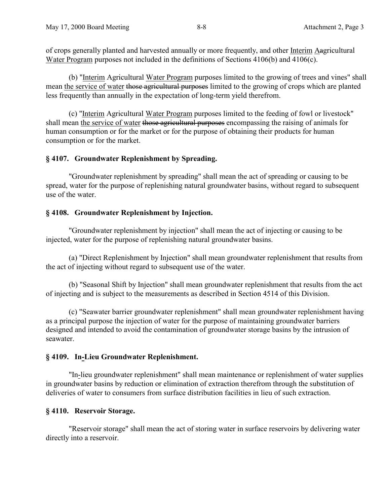of crops generally planted and harvested annually or more frequently, and other Interim Aagricultural Water Program purposes not included in the definitions of Sections 4106(b) and 4106(c).

(b) "Interim Agricultural Water Program purposes limited to the growing of trees and vines" shall mean the service of water those agricultural purposes limited to the growing of crops which are planted less frequently than annually in the expectation of long-term yield therefrom.

(c) "Interim Agricultural Water Program purposes limited to the feeding of fowl or livestock" shall mean the service of water those agricultural purposes encompassing the raising of animals for human consumption or for the market or for the purpose of obtaining their products for human consumption or for the market.

### **§ 4107. Groundwater Replenishment by Spreading.**

"Groundwater replenishment by spreading" shall mean the act of spreading or causing to be spread, water for the purpose of replenishing natural groundwater basins, without regard to subsequent use of the water.

#### **§ 4108. Groundwater Replenishment by Injection.**

"Groundwater replenishment by injection" shall mean the act of injecting or causing to be injected, water for the purpose of replenishing natural groundwater basins.

(a) "Direct Replenishment by Injection" shall mean groundwater replenishment that results from the act of injecting without regard to subsequent use of the water.

(b) "Seasonal Shift by Injection" shall mean groundwater replenishment that results from the act of injecting and is subject to the measurements as described in Section 4514 of this Division.

(c) "Seawater barrier groundwater replenishment" shall mean groundwater replenishment having as a principal purpose the injection of water for the purpose of maintaining groundwater barriers designed and intended to avoid the contamination of groundwater storage basins by the intrusion of seawater.

## **§ 4109. In-Lieu Groundwater Replenishment.**

"In-lieu groundwater replenishment" shall mean maintenance or replenishment of water supplies in groundwater basins by reduction or elimination of extraction therefrom through the substitution of deliveries of water to consumers from surface distribution facilities in lieu of such extraction.

#### **§ 4110. Reservoir Storage.**

"Reservoir storage" shall mean the act of storing water in surface reservoirs by delivering water directly into a reservoir.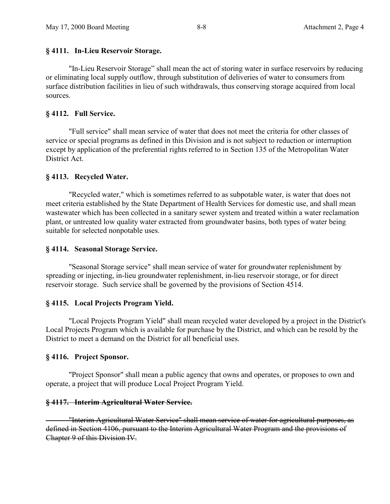### **§ 4111. In-Lieu Reservoir Storage.**

"In-Lieu Reservoir Storage" shall mean the act of storing water in surface reservoirs by reducing or eliminating local supply outflow, through substitution of deliveries of water to consumers from surface distribution facilities in lieu of such withdrawals, thus conserving storage acquired from local sources.

## **§ 4112. Full Service.**

"Full service" shall mean service of water that does not meet the criteria for other classes of service or special programs as defined in this Division and is not subject to reduction or interruption except by application of the preferential rights referred to in Section 135 of the Metropolitan Water District Act.

## **§ 4113. Recycled Water.**

"Recycled water," which is sometimes referred to as subpotable water, is water that does not meet criteria established by the State Department of Health Services for domestic use, and shall mean wastewater which has been collected in a sanitary sewer system and treated within a water reclamation plant, or untreated low quality water extracted from groundwater basins, both types of water being suitable for selected nonpotable uses.

### **§ 4114. Seasonal Storage Service.**

"Seasonal Storage service" shall mean service of water for groundwater replenishment by spreading or injecting, in-lieu groundwater replenishment, in-lieu reservoir storage, or for direct reservoir storage. Such service shall be governed by the provisions of Section 4514.

# **§ 4115. Local Projects Program Yield.**

"Local Projects Program Yield" shall mean recycled water developed by a project in the District's Local Projects Program which is available for purchase by the District, and which can be resold by the District to meet a demand on the District for all beneficial uses.

### **§ 4116. Project Sponsor.**

"Project Sponsor" shall mean a public agency that owns and operates, or proposes to own and operate, a project that will produce Local Project Program Yield.

### **§ 4117. Interim Agricultural Water Service.**

 "Interim Agricultural Water Service" shall mean service of water for agricultural purposes, as defined in Section 4106, pursuant to the Interim Agricultural Water Program and the provisions of Chapter 9 of this Division IV.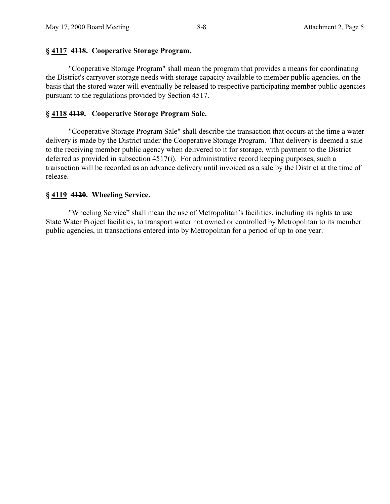# **§ 4117 4118. Cooperative Storage Program.**

"Cooperative Storage Program" shall mean the program that provides a means for coordinating the District's carryover storage needs with storage capacity available to member public agencies, on the basis that the stored water will eventually be released to respective participating member public agencies pursuant to the regulations provided by Section 4517.

# **§ 4118 4119. Cooperative Storage Program Sale.**

"Cooperative Storage Program Sale" shall describe the transaction that occurs at the time a water delivery is made by the District under the Cooperative Storage Program. That delivery is deemed a sale to the receiving member public agency when delivered to it for storage, with payment to the District deferred as provided in subsection 4517(i). For administrative record keeping purposes, such a transaction will be recorded as an advance delivery until invoiced as a sale by the District at the time of release.

# **§ 4119 4120. Wheeling Service.**

"Wheeling Service" shall mean the use of Metropolitan's facilities, including its rights to use State Water Project facilities, to transport water not owned or controlled by Metropolitan to its member public agencies, in transactions entered into by Metropolitan for a period of up to one year.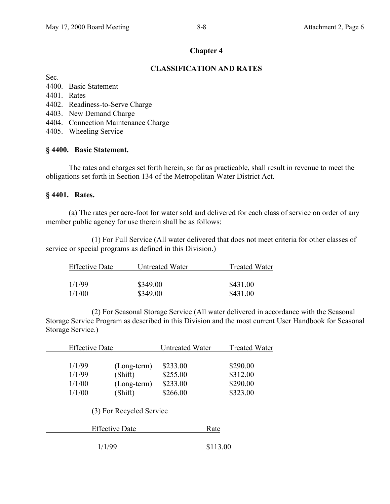## **Chapter 4**

## **CLASSIFICATION AND RATES**

Sec.

- 4400. Basic Statement
- 4401. Rates
- 4402. Readiness-to-Serve Charge
- 4403. New Demand Charge
- 4404. Connection Maintenance Charge
- 4405. Wheeling Service

## **§ 4400. Basic Statement.**

The rates and charges set forth herein, so far as practicable, shall result in revenue to meet the obligations set forth in Section 134 of the Metropolitan Water District Act.

### **§ 4401. Rates.**

(a) The rates per acre-foot for water sold and delivered for each class of service on order of any member public agency for use therein shall be as follows:

(1) For Full Service (All water delivered that does not meet criteria for other classes of service or special programs as defined in this Division.)

| <b>Effective Date</b> | Untreated Water | <b>Treated Water</b> |
|-----------------------|-----------------|----------------------|
|                       |                 |                      |
| 1/1/99                | \$349.00        | \$431.00             |
| 1/1/00                | \$349.00        | \$431.00             |

(2) For Seasonal Storage Service (All water delivered in accordance with the Seasonal Storage Service Program as described in this Division and the most current User Handbook for Seasonal Storage Service.)

| <b>Effective Date</b> |                          | <b>Untreated Water</b> | <b>Treated Water</b> |
|-----------------------|--------------------------|------------------------|----------------------|
|                       |                          |                        |                      |
| 1/1/99                | (Long-term)              | \$233.00               | \$290.00             |
| 1/1/99                | (Shift)                  | \$255.00               | \$312.00             |
| 1/1/00                | $(Long-term)$            | \$233.00               | \$290.00             |
| 1/1/00                | (Shift)                  | \$266.00               | \$323.00             |
|                       | (3) For Recycled Service |                        |                      |
|                       | <b>Effective Date</b>    | Rate                   |                      |
|                       | 1/1/99                   |                        | \$113.00             |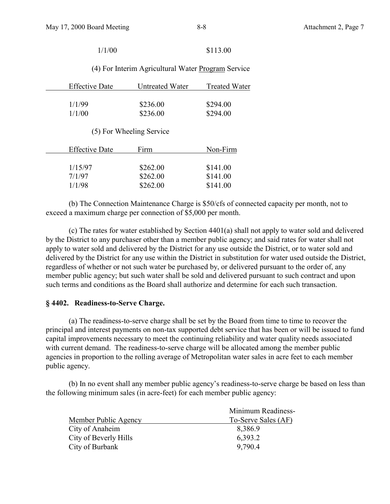| 1/1/00                |                                                    | \$113.00             |
|-----------------------|----------------------------------------------------|----------------------|
|                       | (4) For Interim Agricultural Water Program Service |                      |
| <b>Effective Date</b> | Untreated Water                                    | <b>Treated Water</b> |
| 1/1/99                | \$236.00                                           | \$294.00             |
| 1/1/00                | \$236.00                                           | \$294.00             |
|                       | (5) For Wheeling Service                           |                      |
| <b>Effective Date</b> | Firm                                               | Non-Firm             |
|                       |                                                    |                      |
| 1/15/97               | \$262.00                                           | \$141.00             |
| 7/1/97                | \$262.00                                           | \$141.00             |
| 1/1/98                | \$262.00                                           | \$141.00             |

(b) The Connection Maintenance Charge is \$50/cfs of connected capacity per month, not to exceed a maximum charge per connection of \$5,000 per month.

(c) The rates for water established by Section 4401(a) shall not apply to water sold and delivered by the District to any purchaser other than a member public agency; and said rates for water shall not apply to water sold and delivered by the District for any use outside the District, or to water sold and delivered by the District for any use within the District in substitution for water used outside the District, regardless of whether or not such water be purchased by, or delivered pursuant to the order of, any member public agency; but such water shall be sold and delivered pursuant to such contract and upon such terms and conditions as the Board shall authorize and determine for each such transaction.

### **§ 4402. Readiness-to-Serve Charge.**

(a) The readiness-to-serve charge shall be set by the Board from time to time to recover the principal and interest payments on non-tax supported debt service that has been or will be issued to fund capital improvements necessary to meet the continuing reliability and water quality needs associated with current demand. The readiness-to-serve charge will be allocated among the member public agencies in proportion to the rolling average of Metropolitan water sales in acre feet to each member public agency.

(b) In no event shall any member public agency's readiness-to-serve charge be based on less than the following minimum sales (in acre-feet) for each member public agency:

|                       | Minimum Readiness-  |
|-----------------------|---------------------|
| Member Public Agency  | To-Serve Sales (AF) |
| City of Anaheim       | 8,386.9             |
| City of Beverly Hills | 6,393.2             |
| City of Burbank       | 9,790.4             |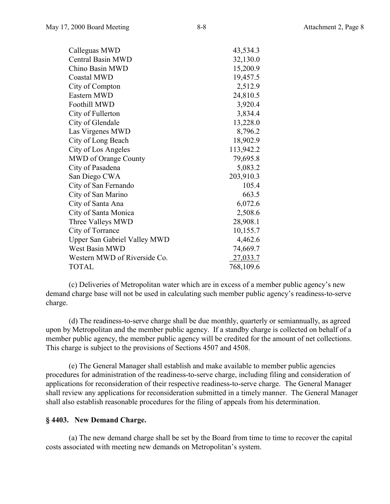| Calleguas MWD                       | 43,534.3  |
|-------------------------------------|-----------|
| <b>Central Basin MWD</b>            | 32,130.0  |
| Chino Basin MWD                     | 15,200.9  |
| Coastal MWD                         | 19,457.5  |
| City of Compton                     | 2,512.9   |
| Eastern MWD                         | 24,810.5  |
| <b>Foothill MWD</b>                 | 3,920.4   |
| City of Fullerton                   | 3,834.4   |
| City of Glendale                    | 13,228.0  |
| Las Virgenes MWD                    | 8,796.2   |
| City of Long Beach                  | 18,902.9  |
| City of Los Angeles                 | 113,942.2 |
| <b>MWD</b> of Orange County         | 79,695.8  |
| City of Pasadena                    | 5,083.2   |
| San Diego CWA                       | 203,910.3 |
| City of San Fernando                | 105.4     |
| City of San Marino                  | 663.5     |
| City of Santa Ana                   | 6,072.6   |
| City of Santa Monica                | 2,508.6   |
| Three Valleys MWD                   | 28,908.1  |
| City of Torrance                    | 10,155.7  |
| <b>Upper San Gabriel Valley MWD</b> | 4,462.6   |
| West Basin MWD                      | 74,669.7  |
| Western MWD of Riverside Co.        | 27,033.7  |
| TOTAL                               | 768,109.6 |

(c) Deliveries of Metropolitan water which are in excess of a member public agency's new demand charge base will not be used in calculating such member public agency's readiness-to-serve charge.

(d) The readiness-to-serve charge shall be due monthly, quarterly or semiannually, as agreed upon by Metropolitan and the member public agency. If a standby charge is collected on behalf of a member public agency, the member public agency will be credited for the amount of net collections. This charge is subject to the provisions of Sections 4507 and 4508.

(e) The General Manager shall establish and make available to member public agencies procedures for administration of the readiness-to-serve charge, including filing and consideration of applications for reconsideration of their respective readiness-to-serve charge. The General Manager shall review any applications for reconsideration submitted in a timely manner. The General Manager shall also establish reasonable procedures for the filing of appeals from his determination.

#### **§ 4403. New Demand Charge.**

(a) The new demand charge shall be set by the Board from time to time to recover the capital costs associated with meeting new demands on Metropolitan's system.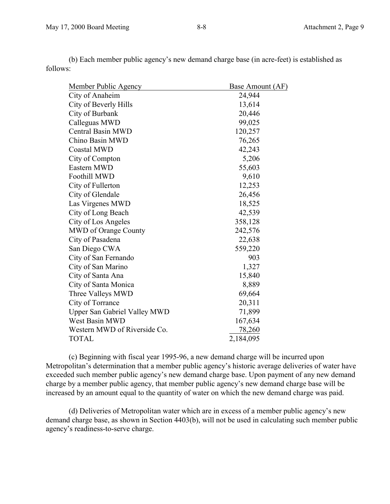| <b>Base Amount (AF)</b> |
|-------------------------|
| 24,944                  |
| 13,614                  |
| 20,446                  |
| 99,025                  |
| 120,257                 |
| 76,265                  |
| 42,243                  |
| 5,206                   |
| 55,603                  |
| 9,610                   |
| 12,253                  |
| 26,456                  |
| 18,525                  |
| 42,539                  |
| 358,128                 |
| 242,576                 |
| 22,638                  |
| 559,220                 |
| 903                     |
| 1,327                   |
| 15,840                  |
| 8,889                   |
| 69,664                  |
| 20,311                  |
| 71,899                  |
| 167,634                 |
| 78,260                  |
| 2,184,095               |
|                         |

(b) Each member public agency's new demand charge base (in acre-feet) is established as follows:

(c) Beginning with fiscal year 1995-96, a new demand charge will be incurred upon Metropolitan's determination that a member public agency's historic average deliveries of water have exceeded such member public agency's new demand charge base. Upon payment of any new demand charge by a member public agency, that member public agency's new demand charge base will be increased by an amount equal to the quantity of water on which the new demand charge was paid.

(d) Deliveries of Metropolitan water which are in excess of a member public agency's new demand charge base, as shown in Section 4403(b), will not be used in calculating such member public agency's readiness-to-serve charge.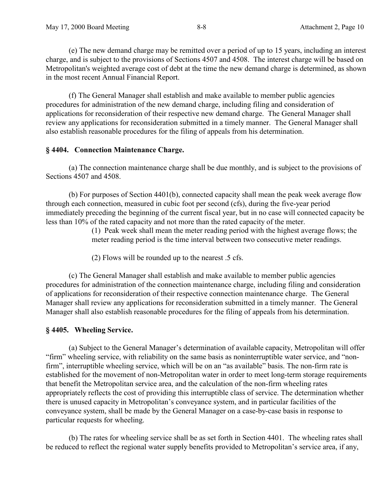(e) The new demand charge may be remitted over a period of up to 15 years, including an interest charge, and is subject to the provisions of Sections 4507 and 4508. The interest charge will be based on Metropolitan's weighted average cost of debt at the time the new demand charge is determined, as shown in the most recent Annual Financial Report.

(f) The General Manager shall establish and make available to member public agencies procedures for administration of the new demand charge, including filing and consideration of applications for reconsideration of their respective new demand charge. The General Manager shall review any applications for reconsideration submitted in a timely manner. The General Manager shall also establish reasonable procedures for the filing of appeals from his determination.

### **§ 4404. Connection Maintenance Charge.**

(a) The connection maintenance charge shall be due monthly, and is subject to the provisions of Sections 4507 and 4508.

(b) For purposes of Section 4401(b), connected capacity shall mean the peak week average flow through each connection, measured in cubic foot per second (cfs), during the five-year period immediately preceding the beginning of the current fiscal year, but in no case will connected capacity be less than 10% of the rated capacity and not more than the rated capacity of the meter.

> (1) Peak week shall mean the meter reading period with the highest average flows; the meter reading period is the time interval between two consecutive meter readings.

(2) Flows will be rounded up to the nearest .5 cfs.

(c) The General Manager shall establish and make available to member public agencies procedures for administration of the connection maintenance charge, including filing and consideration of applications for reconsideration of their respective connection maintenance charge. The General Manager shall review any applications for reconsideration submitted in a timely manner. The General Manager shall also establish reasonable procedures for the filing of appeals from his determination.

# **§ 4405. Wheeling Service.**

(a) Subject to the General Manager's determination of available capacity, Metropolitan will offer "firm" wheeling service, with reliability on the same basis as noninterruptible water service, and "nonfirm", interruptible wheeling service, which will be on an "as available" basis. The non-firm rate is established for the movement of non-Metropolitan water in order to meet long-term storage requirements that benefit the Metropolitan service area, and the calculation of the non-firm wheeling rates appropriately reflects the cost of providing this interruptible class of service. The determination whether there is unused capacity in Metropolitan's conveyance system, and in particular facilities of the conveyance system, shall be made by the General Manager on a case-by-case basis in response to particular requests for wheeling.

(b) The rates for wheeling service shall be as set forth in Section 4401. The wheeling rates shall be reduced to reflect the regional water supply benefits provided to Metropolitan's service area, if any,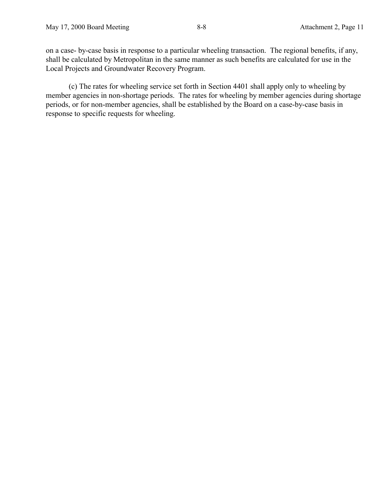on a case- by-case basis in response to a particular wheeling transaction. The regional benefits, if any, shall be calculated by Metropolitan in the same manner as such benefits are calculated for use in the Local Projects and Groundwater Recovery Program.

(c) The rates for wheeling service set forth in Section 4401 shall apply only to wheeling by member agencies in non-shortage periods. The rates for wheeling by member agencies during shortage periods, or for non-member agencies, shall be established by the Board on a case-by-case basis in response to specific requests for wheeling.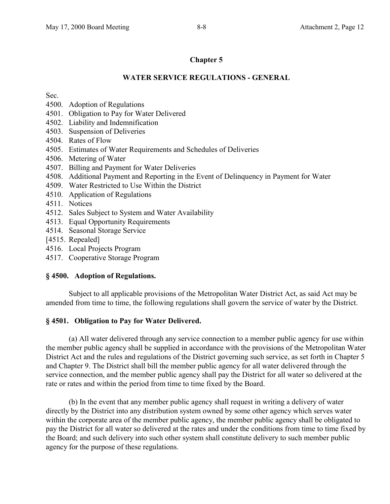# **Chapter 5**

## **WATER SERVICE REGULATIONS - GENERAL**

Sec.

- 4500. Adoption of Regulations
- 4501. Obligation to Pay for Water Delivered
- 4502. Liability and Indemnification
- 4503. Suspension of Deliveries
- 4504. Rates of Flow
- 4505. Estimates of Water Requirements and Schedules of Deliveries
- 4506. Metering of Water
- 4507. Billing and Payment for Water Deliveries
- 4508. Additional Payment and Reporting in the Event of Delinquency in Payment for Water
- 4509. Water Restricted to Use Within the District
- 4510. Application of Regulations
- 4511. Notices
- 4512. Sales Subject to System and Water Availability
- 4513. Equal Opportunity Requirements
- 4514. Seasonal Storage Service
- [4515. Repealed]
- 4516. Local Projects Program
- 4517. Cooperative Storage Program

# **§ 4500. Adoption of Regulations.**

Subject to all applicable provisions of the Metropolitan Water District Act, as said Act may be amended from time to time, the following regulations shall govern the service of water by the District.

# **§ 4501. Obligation to Pay for Water Delivered.**

(a) All water delivered through any service connection to a member public agency for use within the member public agency shall be supplied in accordance with the provisions of the Metropolitan Water District Act and the rules and regulations of the District governing such service, as set forth in Chapter 5 and Chapter 9. The District shall bill the member public agency for all water delivered through the service connection, and the member public agency shall pay the District for all water so delivered at the rate or rates and within the period from time to time fixed by the Board.

(b) In the event that any member public agency shall request in writing a delivery of water directly by the District into any distribution system owned by some other agency which serves water within the corporate area of the member public agency, the member public agency shall be obligated to pay the District for all water so delivered at the rates and under the conditions from time to time fixed by the Board; and such delivery into such other system shall constitute delivery to such member public agency for the purpose of these regulations.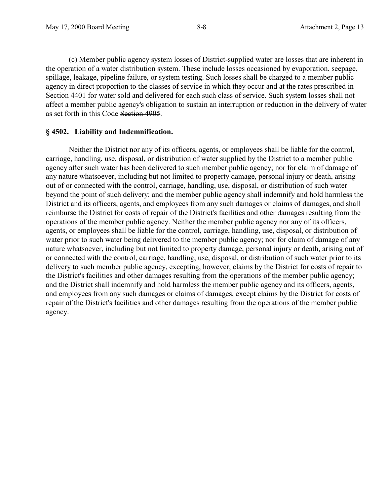(c) Member public agency system losses of District-supplied water are losses that are inherent in the operation of a water distribution system. These include losses occasioned by evaporation, seepage, spillage, leakage, pipeline failure, or system testing. Such losses shall be charged to a member public agency in direct proportion to the classes of service in which they occur and at the rates prescribed in Section 4401 for water sold and delivered for each such class of service. Such system losses shall not affect a member public agency's obligation to sustain an interruption or reduction in the delivery of water as set forth in this Code Section 4905.

#### **§ 4502. Liability and Indemnification.**

Neither the District nor any of its officers, agents, or employees shall be liable for the control, carriage, handling, use, disposal, or distribution of water supplied by the District to a member public agency after such water has been delivered to such member public agency; nor for claim of damage of any nature whatsoever, including but not limited to property damage, personal injury or death, arising out of or connected with the control, carriage, handling, use, disposal, or distribution of such water beyond the point of such delivery; and the member public agency shall indemnify and hold harmless the District and its officers, agents, and employees from any such damages or claims of damages, and shall reimburse the District for costs of repair of the District's facilities and other damages resulting from the operations of the member public agency. Neither the member public agency nor any of its officers, agents, or employees shall be liable for the control, carriage, handling, use, disposal, or distribution of water prior to such water being delivered to the member public agency; nor for claim of damage of any nature whatsoever, including but not limited to property damage, personal injury or death, arising out of or connected with the control, carriage, handling, use, disposal, or distribution of such water prior to its delivery to such member public agency, excepting, however, claims by the District for costs of repair to the District's facilities and other damages resulting from the operations of the member public agency; and the District shall indemnify and hold harmless the member public agency and its officers, agents, and employees from any such damages or claims of damages, except claims by the District for costs of repair of the District's facilities and other damages resulting from the operations of the member public agency.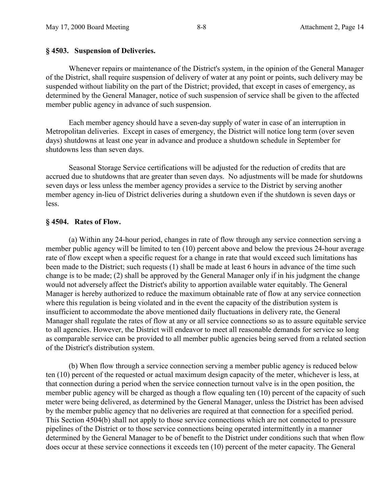#### **§ 4503. Suspension of Deliveries.**

Whenever repairs or maintenance of the District's system, in the opinion of the General Manager of the District, shall require suspension of delivery of water at any point or points, such delivery may be suspended without liability on the part of the District; provided, that except in cases of emergency, as determined by the General Manager, notice of such suspension of service shall be given to the affected member public agency in advance of such suspension.

Each member agency should have a seven-day supply of water in case of an interruption in Metropolitan deliveries. Except in cases of emergency, the District will notice long term (over seven days) shutdowns at least one year in advance and produce a shutdown schedule in September for shutdowns less than seven days.

Seasonal Storage Service certifications will be adjusted for the reduction of credits that are accrued due to shutdowns that are greater than seven days. No adjustments will be made for shutdowns seven days or less unless the member agency provides a service to the District by serving another member agency in-lieu of District deliveries during a shutdown even if the shutdown is seven days or less.

#### **§ 4504. Rates of Flow.**

(a) Within any 24-hour period, changes in rate of flow through any service connection serving a member public agency will be limited to ten (10) percent above and below the previous 24-hour average rate of flow except when a specific request for a change in rate that would exceed such limitations has been made to the District; such requests (1) shall be made at least 6 hours in advance of the time such change is to be made; (2) shall be approved by the General Manager only if in his judgment the change would not adversely affect the District's ability to apportion available water equitably. The General Manager is hereby authorized to reduce the maximum obtainable rate of flow at any service connection where this regulation is being violated and in the event the capacity of the distribution system is insufficient to accommodate the above mentioned daily fluctuations in delivery rate, the General Manager shall regulate the rates of flow at any or all service connections so as to assure equitable service to all agencies. However, the District will endeavor to meet all reasonable demands for service so long as comparable service can be provided to all member public agencies being served from a related section of the District's distribution system.

(b) When flow through a service connection serving a member public agency is reduced below ten (10) percent of the requested or actual maximum design capacity of the meter, whichever is less, at that connection during a period when the service connection turnout valve is in the open position, the member public agency will be charged as though a flow equaling ten (10) percent of the capacity of such meter were being delivered, as determined by the General Manager, unless the District has been advised by the member public agency that no deliveries are required at that connection for a specified period. This Section 4504(b) shall not apply to those service connections which are not connected to pressure pipelines of the District or to those service connections being operated intermittently in a manner determined by the General Manager to be of benefit to the District under conditions such that when flow does occur at these service connections it exceeds ten (10) percent of the meter capacity. The General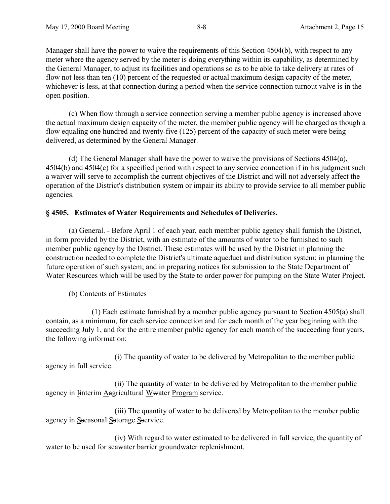Manager shall have the power to waive the requirements of this Section 4504(b), with respect to any meter where the agency served by the meter is doing everything within its capability, as determined by the General Manager, to adjust its facilities and operations so as to be able to take delivery at rates of flow not less than ten (10) percent of the requested or actual maximum design capacity of the meter, whichever is less, at that connection during a period when the service connection turnout valve is in the open position.

(c) When flow through a service connection serving a member public agency is increased above the actual maximum design capacity of the meter, the member public agency will be charged as though a flow equaling one hundred and twenty-five (125) percent of the capacity of such meter were being delivered, as determined by the General Manager.

(d) The General Manager shall have the power to waive the provisions of Sections 4504(a), 4504(b) and 4504(c) for a specified period with respect to any service connection if in his judgment such a waiver will serve to accomplish the current objectives of the District and will not adversely affect the operation of the District's distribution system or impair its ability to provide service to all member public agencies.

# **§ 4505. Estimates of Water Requirements and Schedules of Deliveries.**

(a) General. - Before April 1 of each year, each member public agency shall furnish the District, in form provided by the District, with an estimate of the amounts of water to be furnished to such member public agency by the District. These estimates will be used by the District in planning the construction needed to complete the District's ultimate aqueduct and distribution system; in planning the future operation of such system; and in preparing notices for submission to the State Department of Water Resources which will be used by the State to order power for pumping on the State Water Project.

(b) Contents of Estimates

(1) Each estimate furnished by a member public agency pursuant to Section 4505(a) shall contain, as a minimum, for each service connection and for each month of the year beginning with the succeeding July 1, and for the entire member public agency for each month of the succeeding four years, the following information:

(i) The quantity of water to be delivered by Metropolitan to the member public agency in full service.

(ii) The quantity of water to be delivered by Metropolitan to the member public agency in Iinterim Aagricultural Wwater Program service.

(iii) The quantity of water to be delivered by Metropolitan to the member public agency in Sseasonal Sstorage Sservice.

(iv) With regard to water estimated to be delivered in full service, the quantity of water to be used for seawater barrier groundwater replenishment.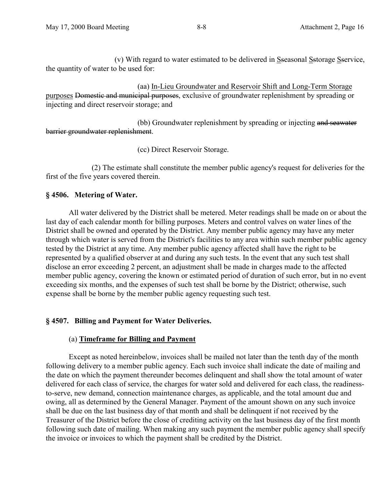(v) With regard to water estimated to be delivered in Sseasonal Sstorage Sservice, the quantity of water to be used for:

(aa) In-Lieu Groundwater and Reservoir Shift and Long-Term Storage purposes Domestic and municipal purposes, exclusive of groundwater replenishment by spreading or injecting and direct reservoir storage; and

(bb) Groundwater replenishment by spreading or injecting and seawater barrier groundwater replenishment.

(cc) Direct Reservoir Storage.

(2) The estimate shall constitute the member public agency's request for deliveries for the first of the five years covered therein.

## **§ 4506. Metering of Water.**

All water delivered by the District shall be metered. Meter readings shall be made on or about the last day of each calendar month for billing purposes. Meters and control valves on water lines of the District shall be owned and operated by the District. Any member public agency may have any meter through which water is served from the District's facilities to any area within such member public agency tested by the District at any time. Any member public agency affected shall have the right to be represented by a qualified observer at and during any such tests. In the event that any such test shall disclose an error exceeding 2 percent, an adjustment shall be made in charges made to the affected member public agency, covering the known or estimated period of duration of such error, but in no event exceeding six months, and the expenses of such test shall be borne by the District; otherwise, such expense shall be borne by the member public agency requesting such test.

# **§ 4507. Billing and Payment for Water Deliveries.**

### (a) **Timeframe for Billing and Payment**

Except as noted hereinbelow, invoices shall be mailed not later than the tenth day of the month following delivery to a member public agency. Each such invoice shall indicate the date of mailing and the date on which the payment thereunder becomes delinquent and shall show the total amount of water delivered for each class of service, the charges for water sold and delivered for each class, the readinessto-serve, new demand, connection maintenance charges, as applicable, and the total amount due and owing, all as determined by the General Manager. Payment of the amount shown on any such invoice shall be due on the last business day of that month and shall be delinquent if not received by the Treasurer of the District before the close of crediting activity on the last business day of the first month following such date of mailing. When making any such payment the member public agency shall specify the invoice or invoices to which the payment shall be credited by the District.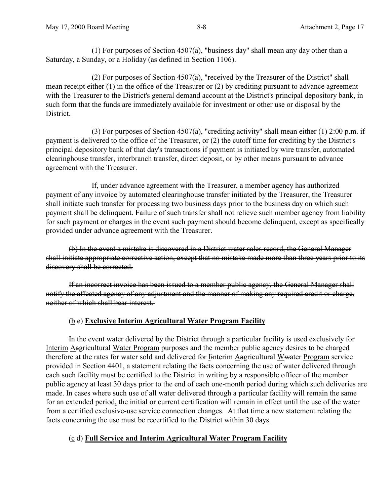(1) For purposes of Section 4507(a), "business day" shall mean any day other than a Saturday, a Sunday, or a Holiday (as defined in Section 1106).

(2) For purposes of Section 4507(a), "received by the Treasurer of the District" shall mean receipt either (1) in the office of the Treasurer or (2) by crediting pursuant to advance agreement with the Treasurer to the District's general demand account at the District's principal depository bank, in such form that the funds are immediately available for investment or other use or disposal by the **District** 

(3) For purposes of Section 4507(a), "crediting activity" shall mean either (1) 2:00 p.m. if payment is delivered to the office of the Treasurer, or (2) the cutoff time for crediting by the District's principal depository bank of that day's transactions if payment is initiated by wire transfer, automated clearinghouse transfer, interbranch transfer, direct deposit, or by other means pursuant to advance agreement with the Treasurer.

If, under advance agreement with the Treasurer, a member agency has authorized payment of any invoice by automated clearinghouse transfer initiated by the Treasurer, the Treasurer shall initiate such transfer for processing two business days prior to the business day on which such payment shall be delinquent. Failure of such transfer shall not relieve such member agency from liability for such payment or charges in the event such payment should become delinquent, except as specifically provided under advance agreement with the Treasurer.

(b) In the event a mistake is discovered in a District water sales record, the General Manager shall initiate appropriate corrective action, except that no mistake made more than three years prior to its discovery shall be corrected.

If an incorrect invoice has been issued to a member public agency, the General Manager shall notify the affected agency of any adjustment and the manner of making any required credit or charge, neither of which shall bear interest.

# (b c) **Exclusive Interim Agricultural Water Program Facility**

In the event water delivered by the District through a particular facility is used exclusively for Interim Aagricultural Water Program purposes and the member public agency desires to be charged therefore at the rates for water sold and delivered for Iinterim Aagricultural Wwater Program service provided in Section 4401, a statement relating the facts concerning the use of water delivered through each such facility must be certified to the District in writing by a responsible officer of the member public agency at least 30 days prior to the end of each one-month period during which such deliveries are made. In cases where such use of all water delivered through a particular facility will remain the same for an extended period, the initial or current certification will remain in effect until the use of the water from a certified exclusive-use service connection changes. At that time a new statement relating the facts concerning the use must be recertified to the District within 30 days.

# (c d) **Full Service and Interim Agricultural Water Program Facility**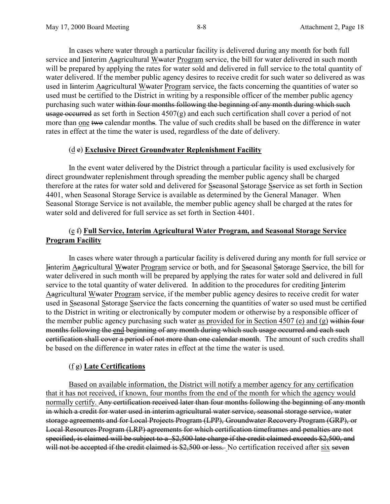In cases where water through a particular facility is delivered during any month for both full service and Interim Aagricultural Wwater Program service, the bill for water delivered in such month will be prepared by applying the rates for water sold and delivered in full service to the total quantity of water delivered. If the member public agency desires to receive credit for such water so delivered as was used in Iinterim Aagricultural Wwater Program service, the facts concerning the quantities of water so used must be certified to the District in writing by a responsible officer of the member public agency purchasing such water within four months following the beginning of any month during which such usage occurred as set forth in Section  $4507(g)$  and each such certification shall cover a period of not more than one two calendar months. The value of such credits shall be based on the difference in water rates in effect at the time the water is used, regardless of the date of delivery.

# (d e) **Exclusive Direct Groundwater Replenishment Facility**

In the event water delivered by the District through a particular facility is used exclusively for direct groundwater replenishment through spreading the member public agency shall be charged therefore at the rates for water sold and delivered for Sseasonal Sstorage Sservice as set forth in Section 4401, when Seasonal Storage Service is available as determined by the General Manager. When Seasonal Storage Service is not available, the member public agency shall be charged at the rates for water sold and delivered for full service as set forth in Section 4401.

# (e f) **Full Service, Interim Agricultural Water Program, and Seasonal Storage Service Program Facility**

In cases where water through a particular facility is delivered during any month for full service or Iinterim Aagricultural Wwater Program service or both, and for Sseasonal Sstorage Sservice, the bill for water delivered in such month will be prepared by applying the rates for water sold and delivered in full service to the total quantity of water delivered. In addition to the procedures for crediting Iinterim Aagricultural Wwater Program service, if the member public agency desires to receive credit for water used in Sseasonal Sstorage Sservice the facts concerning the quantities of water so used must be certified to the District in writing or electronically by computer modem or otherwise by a responsible officer of the member public agency purchasing such water as provided for in Section 4507 (e) and (g) within four months following the end beginning of any month during which such usage occurred and each such certification shall cover a period of not more than one calendar month. The amount of such credits shall be based on the difference in water rates in effect at the time the water is used.

# (f g) **Late Certifications**

Based on available information, the District will notify a member agency for any certification that it has not received, if known, four months from the end of the month for which the agency would normally certify. Any certification received later than four months following the beginning of any month in which a credit for water used in interim agricultural water service, seasonal storage service, water storage agreements and for Local Projects Program (LPP), Groundwater Recovery Program (GRP), or Local Resources Program (LRP) agreements for which certification timeframes and penalties are not specified, is claimed will be subject to a \$2,500 late charge if the credit claimed exceeds \$2,500, and will not be accepted if the credit claimed is \$2,500 or less. No certification received after six seven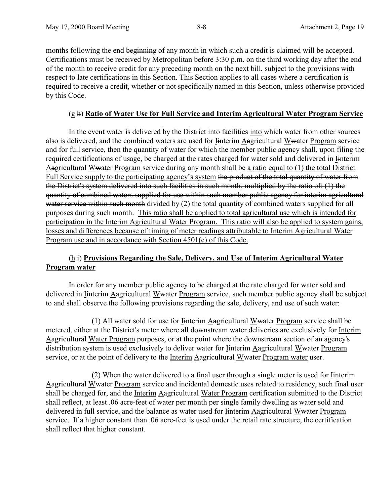months following the end beginning of any month in which such a credit is claimed will be accepted. Certifications must be received by Metropolitan before 3:30 p.m. on the third working day after the end of the month to receive credit for any preceding month on the next bill, subject to the provisions with respect to late certifications in this Section. This Section applies to all cases where a certification is required to receive a credit, whether or not specifically named in this Section, unless otherwise provided by this Code.

### (g h) **Ratio of Water Use for Full Service and Interim Agricultural Water Program Service**

In the event water is delivered by the District into facilities into which water from other sources also is delivered, and the combined waters are used for Iinterim Aagricultural Wwater Program service and for full service, then the quantity of water for which the member public agency shall, upon filing the required certifications of usage, be charged at the rates charged for water sold and delivered in Iinterim Aagricultural Wwater Program service during any month shall be a ratio equal to (1) the total District Full Service supply to the participating agency's system the product of the total quantity of water from the District's system delivered into such facilities in such month, multiplied by the ratio of: (1) the quantity of combined waters supplied for use within such member public agency for interim agricultural water service within such month divided by (2) the total quantity of combined waters supplied for all purposes during such month. This ratio shall be applied to total agricultural use which is intended for participation in the Interim Agricultural Water Program. This ratio will also be applied to system gains, losses and differences because of timing of meter readings attributable to Interim Agricultural Water Program use and in accordance with Section 4501(c) of this Code.

# (h i) **Provisions Regarding the Sale, Delivery, and Use of Interim Agricultural Water Program water**

In order for any member public agency to be charged at the rate charged for water sold and delivered in Iinterim Aagricultural Wwater Program service, such member public agency shall be subject to and shall observe the following provisions regarding the sale, delivery, and use of such water:

(1) All water sold for use for  $I$ interim Aagricultural Wwater Program service shall be metered, either at the District's meter where all downstream water deliveries are exclusively for Interim Aagricultural Water Program purposes, or at the point where the downstream section of an agency's distribution system is used exclusively to deliver water for Iinterim Aagricultural Wwater Program service, or at the point of delivery to the Interim Aagricultural Wwater Program water user.

(2) When the water delivered to a final user through a single meter is used for Iinterim Aagricultural Wwater Program service and incidental domestic uses related to residency, such final user shall be charged for, and the Interim Aagricultural Water Program certification submitted to the District shall reflect, at least .06 acre-feet of water per month per single family dwelling as water sold and delivered in full service, and the balance as water used for Iinterim Aagricultural Wwater Program service. If a higher constant than .06 acre-feet is used under the retail rate structure, the certification shall reflect that higher constant.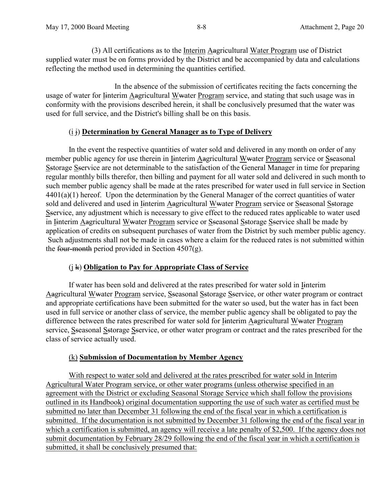(3) All certifications as to the Interim Aagricultural Water Program use of District supplied water must be on forms provided by the District and be accompanied by data and calculations reflecting the method used in determining the quantities certified.

In the absence of the submission of certificates reciting the facts concerning the usage of water for Iinterim Aagricultural Wwater Program service, and stating that such usage was in conformity with the provisions described herein, it shall be conclusively presumed that the water was used for full service, and the District's billing shall be on this basis.

# (i j) **Determination by General Manager as to Type of Delivery**

In the event the respective quantities of water sold and delivered in any month on order of any member public agency for use therein in Iinterim Aagricultural Wwater Program service or Sseasonal Sstorage Sservice are not determinable to the satisfaction of the General Manager in time for preparing regular monthly bills therefor, then billing and payment for all water sold and delivered in such month to such member public agency shall be made at the rates prescribed for water used in full service in Section 4401(a)(1) hereof. Upon the determination by the General Manager of the correct quantities of water sold and delivered and used in Iinterim Aagricultural Wwater Program service or Sseasonal Sstorage Sservice, any adjustment which is necessary to give effect to the reduced rates applicable to water used in Iinterim Aagricultural Wwater Program service or Sseasonal Sstorage Sservice shall be made by application of credits on subsequent purchases of water from the District by such member public agency. Such adjustments shall not be made in cases where a claim for the reduced rates is not submitted within the four-month period provided in Section  $4507(g)$ .

# (j k) **Obligation to Pay for Appropriate Class of Service**

If water has been sold and delivered at the rates prescribed for water sold in Iinterim Aagricultural Wwater Program service, Sseasonal Sstorage Sservice, or other water program or contract and appropriate certifications have been submitted for the water so used, but the water has in fact been used in full service or another class of service, the member public agency shall be obligated to pay the difference between the rates prescribed for water sold for <u>I</u>interim Aagricultural Wwater Program service, Sseasonal Sstorage Sservice, or other water program or contract and the rates prescribed for the class of service actually used.

# (k) **Submission of Documentation by Member Agency**

With respect to water sold and delivered at the rates prescribed for water sold in Interim Agricultural Water Program service, or other water programs (unless otherwise specified in an agreement with the District or excluding Seasonal Storage Service which shall follow the provisions outlined in its Handbook) original documentation supporting the use of such water as certified must be submitted no later than December 31 following the end of the fiscal year in which a certification is submitted. If the documentation is not submitted by December 31 following the end of the fiscal year in which a certification is submitted, an agency will receive a late penalty of \$2,500. If the agency does not submit documentation by February 28/29 following the end of the fiscal year in which a certification is submitted, it shall be conclusively presumed that: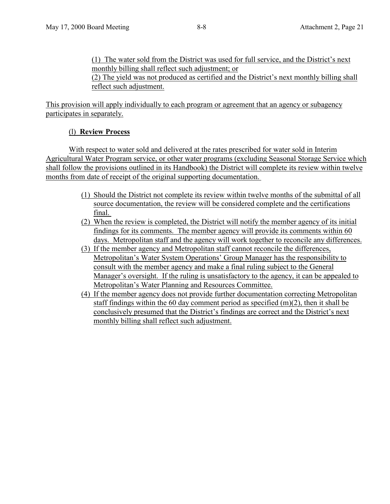(1) The water sold from the District was used for full service, and the District's next monthly billing shall reflect such adjustment; or

(2) The yield was not produced as certified and the District's next monthly billing shall reflect such adjustment.

This provision will apply individually to each program or agreement that an agency or subagency participates in separately.

# (l) **Review Process**

With respect to water sold and delivered at the rates prescribed for water sold in Interim Agricultural Water Program service, or other water programs (excluding Seasonal Storage Service which shall follow the provisions outlined in its Handbook) the District will complete its review within twelve months from date of receipt of the original supporting documentation.

- (1) Should the District not complete its review within twelve months of the submittal of all source documentation, the review will be considered complete and the certifications final.
- (2) When the review is completed, the District will notify the member agency of its initial findings for its comments. The member agency will provide its comments within 60 days. Metropolitan staff and the agency will work together to reconcile any differences.
- (3) If the member agency and Metropolitan staff cannot reconcile the differences, Metropolitan's Water System Operations' Group Manager has the responsibility to consult with the member agency and make a final ruling subject to the General Manager's oversight. If the ruling is unsatisfactory to the agency, it can be appealed to Metropolitan's Water Planning and Resources Committee.
- (4) If the member agency does not provide further documentation correcting Metropolitan staff findings within the 60 day comment period as specified  $(m)(2)$ , then it shall be conclusively presumed that the District's findings are correct and the District's next monthly billing shall reflect such adjustment.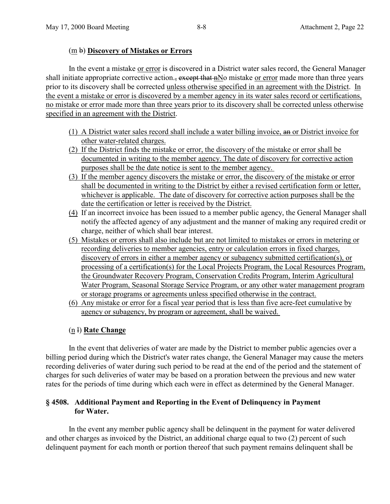# (m b) **Discovery of Mistakes or Errors**

In the event a mistake or error is discovered in a District water sales record, the General Manager shall initiate appropriate corrective action., except that nNo mistake or error made more than three years prior to its discovery shall be corrected unless otherwise specified in an agreement with the District. In the event a mistake or error is discovered by a member agency in its water sales record or certifications, no mistake or error made more than three years prior to its discovery shall be corrected unless otherwise specified in an agreement with the District.

- (1) A District water sales record shall include a water billing invoice, an or District invoice for other water-related charges.
- (2) If the District finds the mistake or error, the discovery of the mistake or error shall be documented in writing to the member agency. The date of discovery for corrective action purposes shall be the date notice is sent to the member agency.
- (3) If the member agency discovers the mistake or error, the discovery of the mistake or error shall be documented in writing to the District by either a revised certification form or letter, whichever is applicable. The date of discovery for corrective action purposes shall be the date the certification or letter is received by the District.
- (4) If an incorrect invoice has been issued to a member public agency, the General Manager shall notify the affected agency of any adjustment and the manner of making any required credit or charge, neither of which shall bear interest.
- (5) Mistakes or errors shall also include but are not limited to mistakes or errors in metering or recording deliveries to member agencies, entry or calculation errors in fixed charges, discovery of errors in either a member agency or subagency submitted certification(s), or processing of a certification(s) for the Local Projects Program, the Local Resources Program, the Groundwater Recovery Program, Conservation Credits Program, Interim Agricultural Water Program, Seasonal Storage Service Program, or any other water management program or storage programs or agreements unless specified otherwise in the contract.
- (6) Any mistake or error for a fiscal year period that is less than five acre-feet cumulative by agency or subagency, by program or agreement, shall be waived.

# (n l) **Rate Change**

In the event that deliveries of water are made by the District to member public agencies over a billing period during which the District's water rates change, the General Manager may cause the meters recording deliveries of water during such period to be read at the end of the period and the statement of charges for such deliveries of water may be based on a proration between the previous and new water rates for the periods of time during which each were in effect as determined by the General Manager.

# **§ 4508. Additional Payment and Reporting in the Event of Delinquency in Payment for Water.**

In the event any member public agency shall be delinquent in the payment for water delivered and other charges as invoiced by the District, an additional charge equal to two (2) percent of such delinquent payment for each month or portion thereof that such payment remains delinquent shall be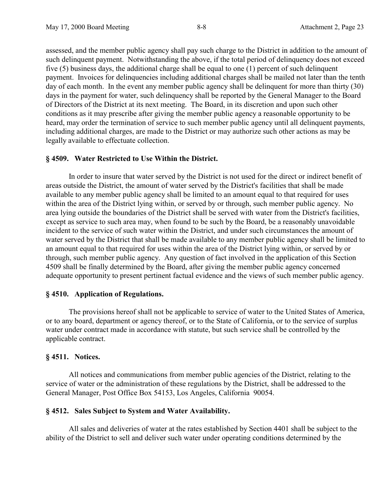assessed, and the member public agency shall pay such charge to the District in addition to the amount of such delinquent payment. Notwithstanding the above, if the total period of delinquency does not exceed five (5) business days, the additional charge shall be equal to one (1) percent of such delinquent payment. Invoices for delinquencies including additional charges shall be mailed not later than the tenth day of each month. In the event any member public agency shall be delinquent for more than thirty (30) days in the payment for water, such delinquency shall be reported by the General Manager to the Board of Directors of the District at its next meeting. The Board, in its discretion and upon such other conditions as it may prescribe after giving the member public agency a reasonable opportunity to be heard, may order the termination of service to such member public agency until all delinquent payments, including additional charges, are made to the District or may authorize such other actions as may be legally available to effectuate collection.

### **§ 4509. Water Restricted to Use Within the District.**

In order to insure that water served by the District is not used for the direct or indirect benefit of areas outside the District, the amount of water served by the District's facilities that shall be made available to any member public agency shall be limited to an amount equal to that required for uses within the area of the District lying within, or served by or through, such member public agency. No area lying outside the boundaries of the District shall be served with water from the District's facilities, except as service to such area may, when found to be such by the Board, be a reasonably unavoidable incident to the service of such water within the District, and under such circumstances the amount of water served by the District that shall be made available to any member public agency shall be limited to an amount equal to that required for uses within the area of the District lying within, or served by or through, such member public agency. Any question of fact involved in the application of this Section 4509 shall be finally determined by the Board, after giving the member public agency concerned adequate opportunity to present pertinent factual evidence and the views of such member public agency.

### **§ 4510. Application of Regulations.**

The provisions hereof shall not be applicable to service of water to the United States of America, or to any board, department or agency thereof, or to the State of California, or to the service of surplus water under contract made in accordance with statute, but such service shall be controlled by the applicable contract.

### **§ 4511. Notices.**

All notices and communications from member public agencies of the District, relating to the service of water or the administration of these regulations by the District, shall be addressed to the General Manager, Post Office Box 54153, Los Angeles, California 90054.

### **§ 4512. Sales Subject to System and Water Availability.**

All sales and deliveries of water at the rates established by Section 4401 shall be subject to the ability of the District to sell and deliver such water under operating conditions determined by the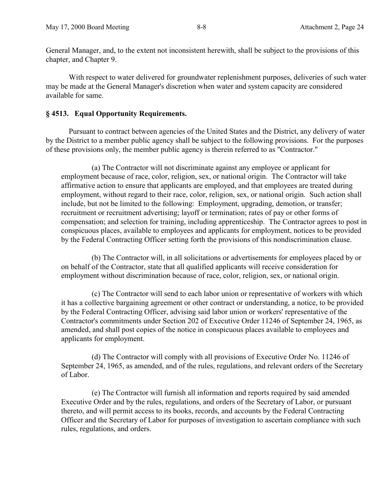General Manager, and, to the extent not inconsistent herewith, shall be subject to the provisions of this chapter, and Chapter 9.

With respect to water delivered for groundwater replenishment purposes, deliveries of such water may be made at the General Manager's discretion when water and system capacity are considered available for same.

# **§ 4513. Equal Opportunity Requirements.**

Pursuant to contract between agencies of the United States and the District, any delivery of water by the District to a member public agency shall be subject to the following provisions. For the purposes of these provisions only, the member public agency is therein referred to as "Contractor."

(a) The Contractor will not discriminate against any employee or applicant for employment because of race, color, religion, sex, or national origin. The Contractor will take affirmative action to ensure that applicants are employed, and that employees are treated during employment, without regard to their race, color, religion, sex, or national origin. Such action shall include, but not be limited to the following: Employment, upgrading, demotion, or transfer; recruitment or recruitment advertising; layoff or termination; rates of pay or other forms of compensation; and selection for training, including apprenticeship. The Contractor agrees to post in conspicuous places, available to employees and applicants for employment, notices to be provided by the Federal Contracting Officer setting forth the provisions of this nondiscrimination clause.

(b) The Contractor will, in all solicitations or advertisements for employees placed by or on behalf of the Contractor, state that all qualified applicants will receive consideration for employment without discrimination because of race, color, religion, sex, or national origin.

(c) The Contractor will send to each labor union or representative of workers with which it has a collective bargaining agreement or other contract or understanding, a notice, to be provided by the Federal Contracting Officer, advising said labor union or workers' representative of the Contractor's commitments under Section 202 of Executive Order 11246 of September 24, 1965, as amended, and shall post copies of the notice in conspicuous places available to employees and applicants for employment.

(d) The Contractor will comply with all provisions of Executive Order No. 11246 of September 24, 1965, as amended, and of the rules, regulations, and relevant orders of the Secretary of Labor.

(e) The Contractor will furnish all information and reports required by said amended Executive Order and by the rules, regulations, and orders of the Secretary of Labor, or pursuant thereto, and will permit access to its books, records, and accounts by the Federal Contracting Officer and the Secretary of Labor for purposes of investigation to ascertain compliance with such rules, regulations, and orders.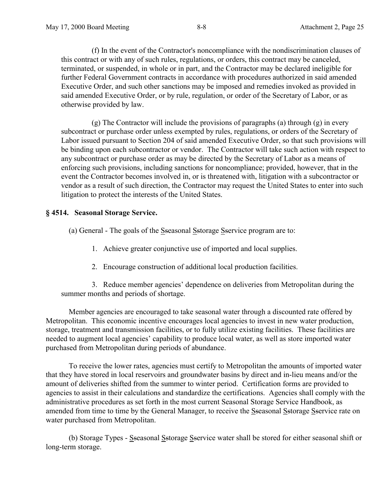(f) In the event of the Contractor's noncompliance with the nondiscrimination clauses of this contract or with any of such rules, regulations, or orders, this contract may be canceled, terminated, or suspended, in whole or in part, and the Contractor may be declared ineligible for further Federal Government contracts in accordance with procedures authorized in said amended Executive Order, and such other sanctions may be imposed and remedies invoked as provided in said amended Executive Order, or by rule, regulation, or order of the Secretary of Labor, or as otherwise provided by law.

(g) The Contractor will include the provisions of paragraphs (a) through (g) in every subcontract or purchase order unless exempted by rules, regulations, or orders of the Secretary of Labor issued pursuant to Section 204 of said amended Executive Order, so that such provisions will be binding upon each subcontractor or vendor. The Contractor will take such action with respect to any subcontract or purchase order as may be directed by the Secretary of Labor as a means of enforcing such provisions, including sanctions for noncompliance; provided, however, that in the event the Contractor becomes involved in, or is threatened with, litigation with a subcontractor or vendor as a result of such direction, the Contractor may request the United States to enter into such litigation to protect the interests of the United States.

# **§ 4514. Seasonal Storage Service.**

(a) General - The goals of the Sseasonal Sstorage Sservice program are to:

- 1. Achieve greater conjunctive use of imported and local supplies.
- 2. Encourage construction of additional local production facilities.

3. Reduce member agencies' dependence on deliveries from Metropolitan during the summer months and periods of shortage.

Member agencies are encouraged to take seasonal water through a discounted rate offered by Metropolitan. This economic incentive encourages local agencies to invest in new water production, storage, treatment and transmission facilities, or to fully utilize existing facilities. These facilities are needed to augment local agencies' capability to produce local water, as well as store imported water purchased from Metropolitan during periods of abundance.

To receive the lower rates, agencies must certify to Metropolitan the amounts of imported water that they have stored in local reservoirs and groundwater basins by direct and in-lieu means and/or the amount of deliveries shifted from the summer to winter period. Certification forms are provided to agencies to assist in their calculations and standardize the certifications. Agencies shall comply with the administrative procedures as set forth in the most current Seasonal Storage Service Handbook, as amended from time to time by the General Manager, to receive the Sseasonal Sstorage Sservice rate on water purchased from Metropolitan.

(b) Storage Types - Sseasonal Sstorage Sservice water shall be stored for either seasonal shift or long-term storage.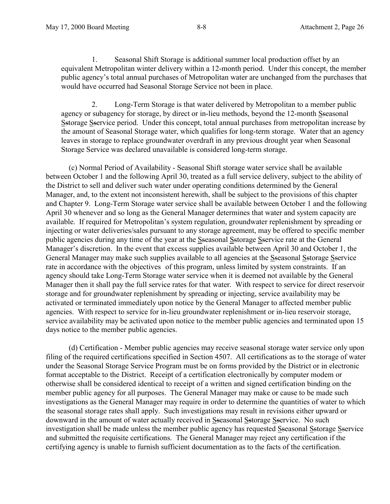1. Seasonal Shift Storage is additional summer local production offset by an equivalent Metropolitan winter delivery within a 12-month period. Under this concept, the member public agency's total annual purchases of Metropolitan water are unchanged from the purchases that would have occurred had Seasonal Storage Service not been in place.

2. Long-Term Storage is that water delivered by Metropolitan to a member public agency or subagency for storage, by direct or in-lieu methods, beyond the 12-month Sseasonal Sstorage Sservice period. Under this concept, total annual purchases from metropolitan increase by the amount of Seasonal Storage water, which qualifies for long-term storage. Water that an agency leaves in storage to replace groundwater overdraft in any previous drought year when Seasonal Storage Service was declared unavailable is considered long-term storage.

(c) Normal Period of Availability - Seasonal Shift storage water service shall be available between October 1 and the following April 30, treated as a full service delivery, subject to the ability of the District to sell and deliver such water under operating conditions determined by the General Manager, and, to the extent not inconsistent herewith, shall be subject to the provisions of this chapter and Chapter 9. Long-Term Storage water service shall be available between October 1 and the following April 30 whenever and so long as the General Manager determines that water and system capacity are available. If required for Metropolitan's system regulation, groundwater replenishment by spreading or injecting or water deliveries/sales pursuant to any storage agreement, may be offered to specific member public agencies during any time of the year at the Sseasonal Sstorage Sservice rate at the General Manager's discretion. In the event that excess supplies available between April 30 and October 1, the General Manager may make such supplies available to all agencies at the Sseasonal Sstorage Sservice rate in accordance with the objectives of this program, unless limited by system constraints. If an agency should take Long-Term Storage water service when it is deemed not available by the General Manager then it shall pay the full service rates for that water. With respect to service for direct reservoir storage and for groundwater replenishment by spreading or injecting, service availability may be activated or terminated immediately upon notice by the General Manager to affected member public agencies. With respect to service for in-lieu groundwater replenishment or in-lieu reservoir storage, service availability may be activated upon notice to the member public agencies and terminated upon 15 days notice to the member public agencies.

(d) Certification - Member public agencies may receive seasonal storage water service only upon filing of the required certifications specified in Section 4507. All certifications as to the storage of water under the Seasonal Storage Service Program must be on forms provided by the District or in electronic format acceptable to the District. Receipt of a certification electronically by computer modem or otherwise shall be considered identical to receipt of a written and signed certification binding on the member public agency for all purposes. The General Manager may make or cause to be made such investigations as the General Manager may require in order to determine the quantities of water to which the seasonal storage rates shall apply. Such investigations may result in revisions either upward or downward in the amount of water actually received in Sseasonal Sstorage Sservice. No such investigation shall be made unless the member public agency has requested Sseasonal Sstorage Sservice and submitted the requisite certifications. The General Manager may reject any certification if the certifying agency is unable to furnish sufficient documentation as to the facts of the certification.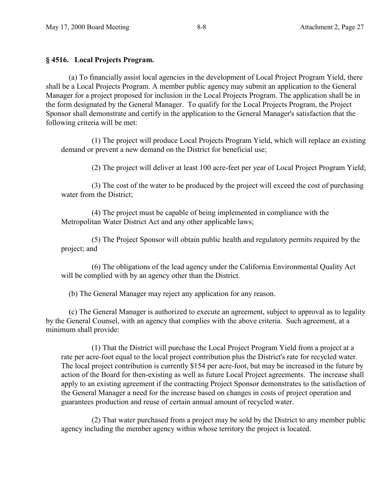## **§ 4516. Local Projects Program.**

(a) To financially assist local agencies in the development of Local Project Program Yield, there shall be a Local Projects Program. A member public agency may submit an application to the General Manager for a project proposed for inclusion in the Local Projects Program. The application shall be in the form designated by the General Manager. To qualify for the Local Projects Program, the Project Sponsor shall demonstrate and certify in the application to the General Manager's satisfaction that the following criteria will be met:

(1) The project will produce Local Projects Program Yield, which will replace an existing demand or prevent a new demand on the District for beneficial use;

(2) The project will deliver at least 100 acre-feet per year of Local Project Program Yield;

(3) The cost of the water to be produced by the project will exceed the cost of purchasing water from the District;

(4) The project must be capable of being implemented in compliance with the Metropolitan Water District Act and any other applicable laws;

(5) The Project Sponsor will obtain public health and regulatory permits required by the project; and

(6) The obligations of the lead agency under the California Environmental Quality Act will be complied with by an agency other than the District.

(b) The General Manager may reject any application for any reason.

(c) The General Manager is authorized to execute an agreement, subject to approval as to legality by the General Counsel, with an agency that complies with the above criteria. Such agreement, at a minimum shall provide:

(1) That the District will purchase the Local Project Program Yield from a project at a rate per acre-foot equal to the local project contribution plus the District's rate for recycled water. The local project contribution is currently \$154 per acre-foot, but may be increased in the future by action of the Board for then-existing as well as future Local Project agreements. The increase shall apply to an existing agreement if the contracting Project Sponsor demonstrates to the satisfaction of the General Manager a need for the increase based on changes in costs of project operation and guarantees production and reuse of certain annual amount of recycled water.

(2) That water purchased from a project may be sold by the District to any member public agency including the member agency within whose territory the project is located.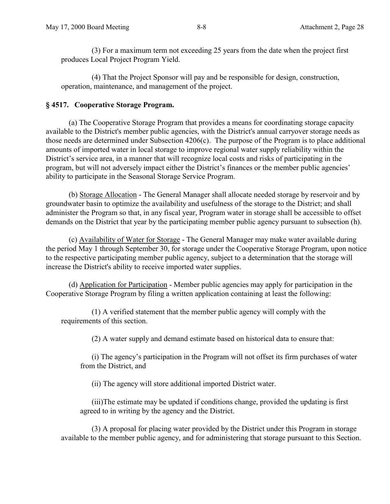(3) For a maximum term not exceeding 25 years from the date when the project first produces Local Project Program Yield.

(4) That the Project Sponsor will pay and be responsible for design, construction, operation, maintenance, and management of the project.

# **§ 4517. Cooperative Storage Program.**

(a) The Cooperative Storage Program that provides a means for coordinating storage capacity available to the District's member public agencies, with the District's annual carryover storage needs as those needs are determined under Subsection 4206(c). The purpose of the Program is to place additional amounts of imported water in local storage to improve regional water supply reliability within the District's service area, in a manner that will recognize local costs and risks of participating in the program, but will not adversely impact either the District's finances or the member public agencies' ability to participate in the Seasonal Storage Service Program.

(b) Storage Allocation - The General Manager shall allocate needed storage by reservoir and by groundwater basin to optimize the availability and usefulness of the storage to the District; and shall administer the Program so that, in any fiscal year, Program water in storage shall be accessible to offset demands on the District that year by the participating member public agency pursuant to subsection (h).

(c) Availability of Water for Storage - The General Manager may make water available during the period May 1 through September 30, for storage under the Cooperative Storage Program, upon notice to the respective participating member public agency, subject to a determination that the storage will increase the District's ability to receive imported water supplies.

(d) Application for Participation - Member public agencies may apply for participation in the Cooperative Storage Program by filing a written application containing at least the following:

(1) A verified statement that the member public agency will comply with the requirements of this section.

(2) A water supply and demand estimate based on historical data to ensure that:

(i) The agency's participation in the Program will not offset its firm purchases of water from the District, and

(ii) The agency will store additional imported District water.

(iii)The estimate may be updated if conditions change, provided the updating is first agreed to in writing by the agency and the District.

(3) A proposal for placing water provided by the District under this Program in storage available to the member public agency, and for administering that storage pursuant to this Section.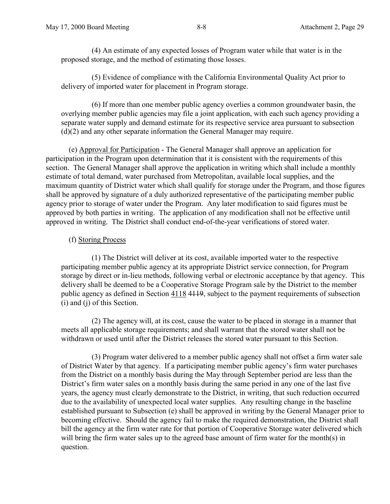(4) An estimate of any expected losses of Program water while that water is in the proposed storage, and the method of estimating those losses.

(5) Evidence of compliance with the California Environmental Quality Act prior to delivery of imported water for placement in Program storage.

(6) If more than one member public agency overlies a common groundwater basin, the overlying member public agencies may file a joint application, with each such agency providing a separate water supply and demand estimate for its respective service area pursuant to subsection (d)(2) and any other separate information the General Manager may require.

(e) Approval for Participation - The General Manager shall approve an application for participation in the Program upon determination that it is consistent with the requirements of this section. The General Manager shall approve the application in writing which shall include a monthly estimate of total demand, water purchased from Metropolitan, available local supplies, and the maximum quantity of District water which shall qualify for storage under the Program, and those figures shall be approved by signature of a duly authorized representative of the participating member public agency prior to storage of water under the Program. Any later modification to said figures must be approved by both parties in writing. The application of any modification shall not be effective until approved in writing. The District shall conduct end-of-the-year verifications of stored water.

## (f) Storing Process

(1) The District will deliver at its cost, available imported water to the respective participating member public agency at its appropriate District service connection, for Program storage by direct or in-lieu methods, following verbal or electronic acceptance by that agency. This delivery shall be deemed to be a Cooperative Storage Program sale by the District to the member public agency as defined in Section 4118 4119, subject to the payment requirements of subsection (i) and (j) of this Section.

(2) The agency will, at its cost, cause the water to be placed in storage in a manner that meets all applicable storage requirements; and shall warrant that the stored water shall not be withdrawn or used until after the District releases the stored water pursuant to this Section.

(3) Program water delivered to a member public agency shall not offset a firm water sale of District Water by that agency. If a participating member public agency's firm water purchases from the District on a monthly basis during the May through September period are less than the District's firm water sales on a monthly basis during the same period in any one of the last five years, the agency must clearly demonstrate to the District, in writing, that such reduction occurred due to the availability of unexpected local water supplies. Any resulting change in the baseline established pursuant to Subsection (e) shall be approved in writing by the General Manager prior to becoming effective. Should the agency fail to make the required demonstration, the District shall bill the agency at the firm water rate for that portion of Cooperative Storage water delivered which will bring the firm water sales up to the agreed base amount of firm water for the month(s) in question.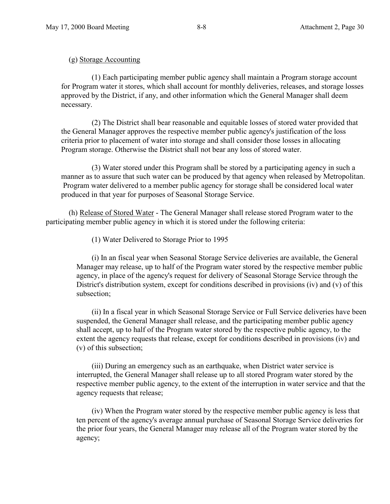### (g) Storage Accounting

(1) Each participating member public agency shall maintain a Program storage account for Program water it stores, which shall account for monthly deliveries, releases, and storage losses approved by the District, if any, and other information which the General Manager shall deem necessary.

(2) The District shall bear reasonable and equitable losses of stored water provided that the General Manager approves the respective member public agency's justification of the loss criteria prior to placement of water into storage and shall consider those losses in allocating Program storage. Otherwise the District shall not bear any loss of stored water.

(3) Water stored under this Program shall be stored by a participating agency in such a manner as to assure that such water can be produced by that agency when released by Metropolitan. Program water delivered to a member public agency for storage shall be considered local water produced in that year for purposes of Seasonal Storage Service.

(h) Release of Stored Water - The General Manager shall release stored Program water to the participating member public agency in which it is stored under the following criteria:

(1) Water Delivered to Storage Prior to 1995

(i) In an fiscal year when Seasonal Storage Service deliveries are available, the General Manager may release, up to half of the Program water stored by the respective member public agency, in place of the agency's request for delivery of Seasonal Storage Service through the District's distribution system, except for conditions described in provisions (iv) and (v) of this subsection;

(ii) In a fiscal year in which Seasonal Storage Service or Full Service deliveries have been suspended, the General Manager shall release, and the participating member public agency shall accept, up to half of the Program water stored by the respective public agency, to the extent the agency requests that release, except for conditions described in provisions (iv) and (v) of this subsection;

(iii) During an emergency such as an earthquake, when District water service is interrupted, the General Manager shall release up to all stored Program water stored by the respective member public agency, to the extent of the interruption in water service and that the agency requests that release;

(iv) When the Program water stored by the respective member public agency is less that ten percent of the agency's average annual purchase of Seasonal Storage Service deliveries for the prior four years, the General Manager may release all of the Program water stored by the agency;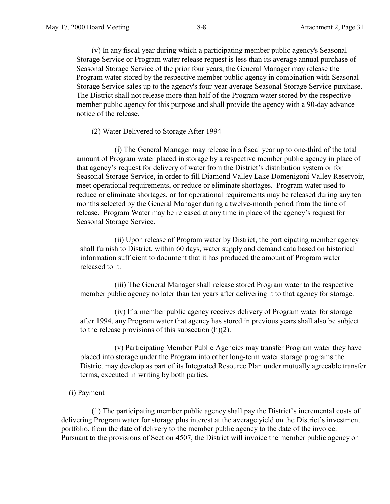(v) In any fiscal year during which a participating member public agency's Seasonal Storage Service or Program water release request is less than its average annual purchase of Seasonal Storage Service of the prior four years, the General Manager may release the Program water stored by the respective member public agency in combination with Seasonal Storage Service sales up to the agency's four-year average Seasonal Storage Service purchase. The District shall not release more than half of the Program water stored by the respective member public agency for this purpose and shall provide the agency with a 90-day advance notice of the release.

#### (2) Water Delivered to Storage After 1994

(i) The General Manager may release in a fiscal year up to one-third of the total amount of Program water placed in storage by a respective member public agency in place of that agency's request for delivery of water from the District's distribution system or for Seasonal Storage Service, in order to fill Diamond Valley Lake Domenigoni Valley Reservoir, meet operational requirements, or reduce or eliminate shortages. Program water used to reduce or eliminate shortages, or for operational requirements may be released during any ten months selected by the General Manager during a twelve-month period from the time of release. Program Water may be released at any time in place of the agency's request for Seasonal Storage Service.

(ii) Upon release of Program water by District, the participating member agency shall furnish to District, within 60 days, water supply and demand data based on historical information sufficient to document that it has produced the amount of Program water released to it.

(iii) The General Manager shall release stored Program water to the respective member public agency no later than ten years after delivering it to that agency for storage.

(iv) If a member public agency receives delivery of Program water for storage after 1994, any Program water that agency has stored in previous years shall also be subject to the release provisions of this subsection (h)(2).

(v) Participating Member Public Agencies may transfer Program water they have placed into storage under the Program into other long-term water storage programs the District may develop as part of its Integrated Resource Plan under mutually agreeable transfer terms, executed in writing by both parties.

#### (i) Payment

(1) The participating member public agency shall pay the District's incremental costs of delivering Program water for storage plus interest at the average yield on the District's investment portfolio, from the date of delivery to the member public agency to the date of the invoice. Pursuant to the provisions of Section 4507, the District will invoice the member public agency on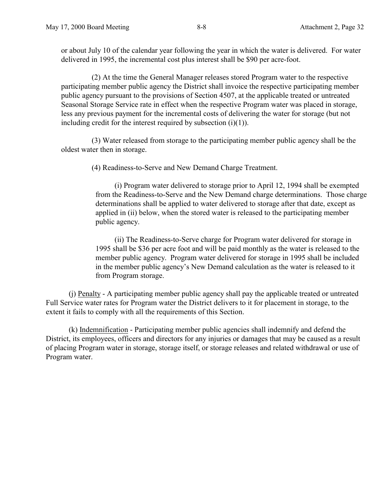or about July 10 of the calendar year following the year in which the water is delivered. For water delivered in 1995, the incremental cost plus interest shall be \$90 per acre-foot.

(2) At the time the General Manager releases stored Program water to the respective participating member public agency the District shall invoice the respective participating member public agency pursuant to the provisions of Section 4507, at the applicable treated or untreated Seasonal Storage Service rate in effect when the respective Program water was placed in storage, less any previous payment for the incremental costs of delivering the water for storage (but not including credit for the interest required by subsection  $(i)(1)$ ).

(3) Water released from storage to the participating member public agency shall be the oldest water then in storage.

(4) Readiness-to-Serve and New Demand Charge Treatment.

(i) Program water delivered to storage prior to April 12, 1994 shall be exempted from the Readiness-to-Serve and the New Demand charge determinations. Those charge determinations shall be applied to water delivered to storage after that date, except as applied in (ii) below, when the stored water is released to the participating member public agency.

(ii) The Readiness-to-Serve charge for Program water delivered for storage in 1995 shall be \$36 per acre foot and will be paid monthly as the water is released to the member public agency. Program water delivered for storage in 1995 shall be included in the member public agency's New Demand calculation as the water is released to it from Program storage.

(j) Penalty - A participating member public agency shall pay the applicable treated or untreated Full Service water rates for Program water the District delivers to it for placement in storage, to the extent it fails to comply with all the requirements of this Section.

(k) Indemnification - Participating member public agencies shall indemnify and defend the District, its employees, officers and directors for any injuries or damages that may be caused as a result of placing Program water in storage, storage itself, or storage releases and related withdrawal or use of Program water.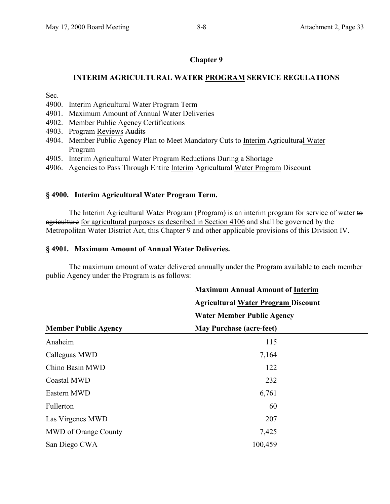# **Chapter 9**

# **INTERIM AGRICULTURAL WATER PROGRAM SERVICE REGULATIONS**

Sec.

- 4900. Interim Agricultural Water Program Term
- 4901. Maximum Amount of Annual Water Deliveries
- 4902. Member Public Agency Certifications
- 4903. Program Reviews Audits
- 4904. Member Public Agency Plan to Meet Mandatory Cuts to Interim Agricultural Water Program
- 4905. Interim Agricultural Water Program Reductions During a Shortage
- 4906. Agencies to Pass Through Entire Interim Agricultural Water Program Discount

## **§ 4900. Interim Agricultural Water Program Term.**

The Interim Agricultural Water Program (Program) is an interim program for service of water to agriculture for agricultural purposes as described in Section 4106 and shall be governed by the Metropolitan Water District Act, this Chapter 9 and other applicable provisions of this Division IV.

### **§ 4901. Maximum Amount of Annual Water Deliveries.**

The maximum amount of water delivered annually under the Program available to each member public Agency under the Program is as follows:

|                             | <b>Maximum Annual Amount of Interim</b>    |  |
|-----------------------------|--------------------------------------------|--|
|                             | <b>Agricultural Water Program Discount</b> |  |
|                             | <b>Water Member Public Agency</b>          |  |
| <b>Member Public Agency</b> | <b>May Purchase (acre-feet)</b>            |  |
| Anaheim                     | 115                                        |  |
| Calleguas MWD               | 7,164                                      |  |
| Chino Basin MWD             | 122                                        |  |
| <b>Coastal MWD</b>          | 232                                        |  |
| Eastern MWD                 | 6,761                                      |  |
| Fullerton                   | 60                                         |  |
| Las Virgenes MWD            | 207                                        |  |
| MWD of Orange County        | 7,425                                      |  |
| San Diego CWA               | 100,459                                    |  |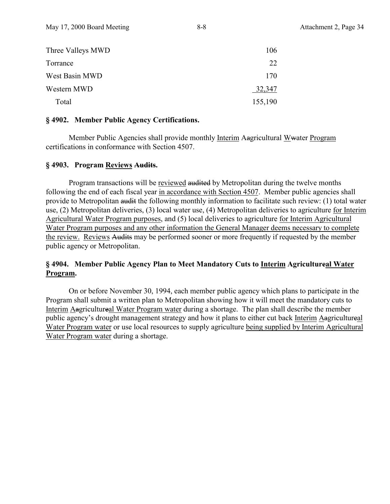| Three Valleys MWD | 106     |
|-------------------|---------|
| Torrance          | 22      |
| West Basin MWD    | 170     |
| Western MWD       | 32,347  |
| Total             | 155,190 |

#### **§ 4902. Member Public Agency Certifications.**

Member Public Agencies shall provide monthly Interim Aagricultural Wwater Program certifications in conformance with Section 4507.

### **§ 4903. Program Reviews Audits.**

Program transactions will be reviewed audited by Metropolitan during the twelve months following the end of each fiscal year in accordance with Section 4507. Member public agencies shall provide to Metropolitan audit the following monthly information to facilitate such review: (1) total water use, (2) Metropolitan deliveries, (3) local water use, (4) Metropolitan deliveries to agriculture for Interim Agricultural Water Program purposes, and (5) local deliveries to agriculture for Interim Agricultural Water Program purposes and any other information the General Manager deems necessary to complete the review. Reviews Audits may be performed sooner or more frequently if requested by the member public agency or Metropolitan.

# **§ 4904. Member Public Agency Plan to Meet Mandatory Cuts to Interim Agricultureal Water Program.**

On or before November 30, 1994, each member public agency which plans to participate in the Program shall submit a written plan to Metropolitan showing how it will meet the mandatory cuts to Interim Aagricultureal Water Program water during a shortage. The plan shall describe the member public agency's drought management strategy and how it plans to either cut back Interim Aagricultureal Water Program water or use local resources to supply agriculture being supplied by Interim Agricultural Water Program water during a shortage.